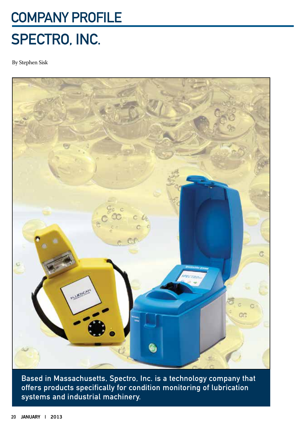## Company PROFILE SPECTRO, INC.

By Stephen Sisk



Based in Massachusetts, Spectro, Inc. is a technology company that offers products specifically for condition monitoring of lubrication systems and industrial machinery.